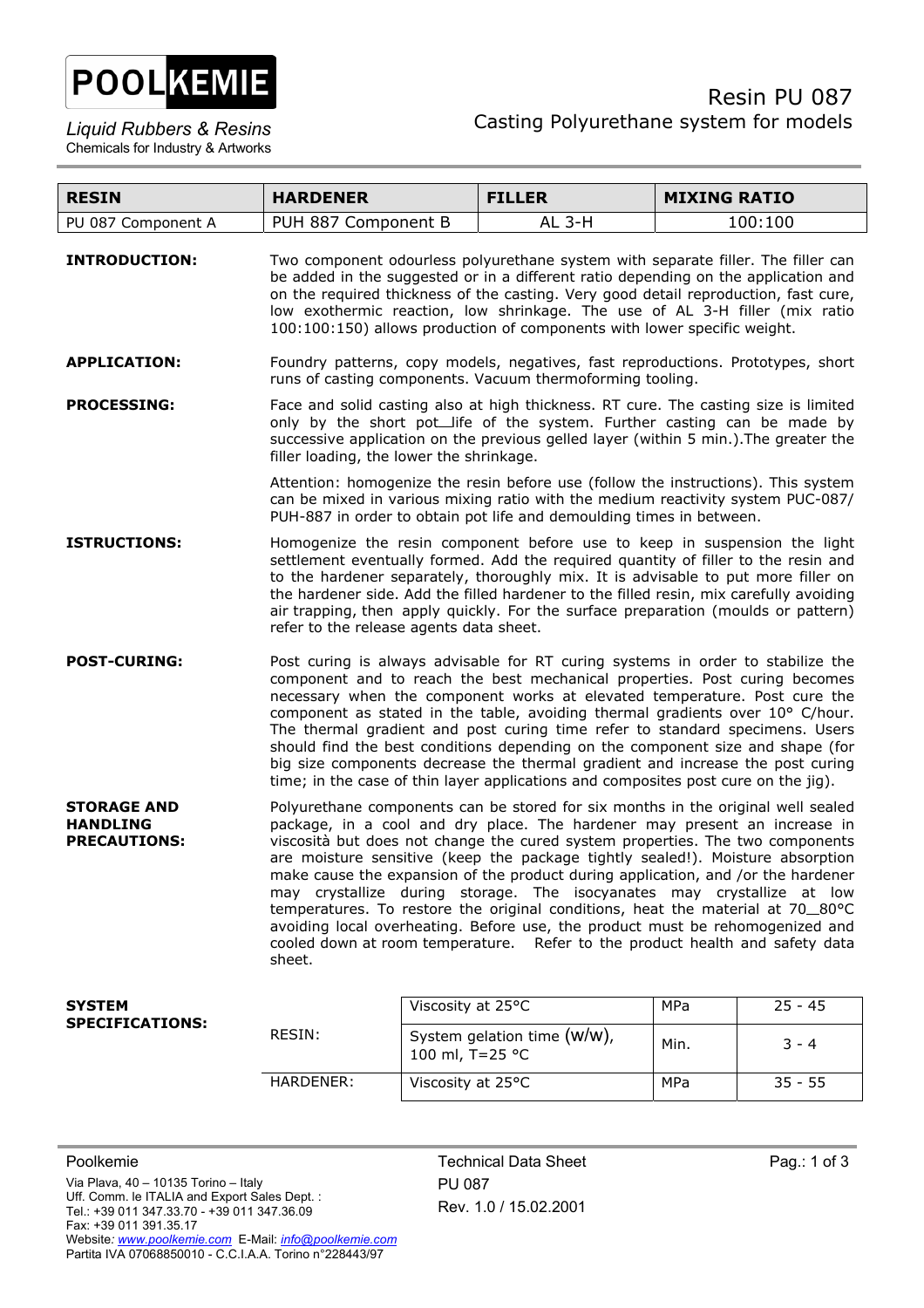

| <b>RESIN</b>                                                 | <b>HARDENER</b>                                                                                                                                                                                                                                                                                                                                                                                                                                                                                                                                                                                                                                                                                                                                             |                   | <b>FILLER</b>               | <b>MIXING RATIO</b> |           |
|--------------------------------------------------------------|-------------------------------------------------------------------------------------------------------------------------------------------------------------------------------------------------------------------------------------------------------------------------------------------------------------------------------------------------------------------------------------------------------------------------------------------------------------------------------------------------------------------------------------------------------------------------------------------------------------------------------------------------------------------------------------------------------------------------------------------------------------|-------------------|-----------------------------|---------------------|-----------|
| PU 087 Component A                                           | PUH 887 Component B                                                                                                                                                                                                                                                                                                                                                                                                                                                                                                                                                                                                                                                                                                                                         |                   | <b>AL 3-H</b>               |                     | 100:100   |
| <b>INTRODUCTION:</b>                                         | Two component odourless polyurethane system with separate filler. The filler can<br>be added in the suggested or in a different ratio depending on the application and<br>on the required thickness of the casting. Very good detail reproduction, fast cure,<br>low exothermic reaction, low shrinkage. The use of AL 3-H filler (mix ratio<br>100:100:150) allows production of components with lower specific weight.                                                                                                                                                                                                                                                                                                                                    |                   |                             |                     |           |
| <b>APPLICATION:</b>                                          | Foundry patterns, copy models, negatives, fast reproductions. Prototypes, short<br>runs of casting components. Vacuum thermoforming tooling.                                                                                                                                                                                                                                                                                                                                                                                                                                                                                                                                                                                                                |                   |                             |                     |           |
| <b>PROCESSING:</b>                                           | Face and solid casting also at high thickness. RT cure. The casting size is limited<br>only by the short pot_life of the system. Further casting can be made by<br>successive application on the previous gelled layer (within 5 min.). The greater the<br>filler loading, the lower the shrinkage.<br>Attention: homogenize the resin before use (follow the instructions). This system<br>can be mixed in various mixing ratio with the medium reactivity system PUC-087/<br>PUH-887 in order to obtain pot life and demoulding times in between.                                                                                                                                                                                                         |                   |                             |                     |           |
|                                                              |                                                                                                                                                                                                                                                                                                                                                                                                                                                                                                                                                                                                                                                                                                                                                             |                   |                             |                     |           |
| <b>ISTRUCTIONS:</b>                                          | Homogenize the resin component before use to keep in suspension the light<br>settlement eventually formed. Add the required quantity of filler to the resin and<br>to the hardener separately, thoroughly mix. It is advisable to put more filler on<br>the hardener side. Add the filled hardener to the filled resin, mix carefully avoiding<br>air trapping, then apply quickly. For the surface preparation (moulds or pattern)<br>refer to the release agents data sheet.                                                                                                                                                                                                                                                                              |                   |                             |                     |           |
| <b>POST-CURING:</b>                                          | Post curing is always advisable for RT curing systems in order to stabilize the<br>component and to reach the best mechanical properties. Post curing becomes<br>necessary when the component works at elevated temperature. Post cure the<br>component as stated in the table, avoiding thermal gradients over 10° C/hour.<br>The thermal gradient and post curing time refer to standard specimens. Users<br>should find the best conditions depending on the component size and shape (for<br>big size components decrease the thermal gradient and increase the post curing<br>time; in the case of thin layer applications and composites post cure on the jig).                                                                                       |                   |                             |                     |           |
| <b>STORAGE AND</b><br><b>HANDLING</b><br><b>PRECAUTIONS:</b> | Polyurethane components can be stored for six months in the original well sealed<br>package, in a cool and dry place. The hardener may present an increase in<br>viscosità but does not change the cured system properties. The two components<br>are moisture sensitive (keep the package tightly sealed!). Moisture absorption<br>make cause the expansion of the product during application, and /or the hardener<br>may crystallize during storage. The isocyanates may crystallize at low<br>temperatures. To restore the original conditions, heat the material at 70_80°C<br>avoiding local overheating. Before use, the product must be rehomogenized and<br>cooled down at room temperature. Refer to the product health and safety data<br>sheet. |                   |                             |                     |           |
| <b>SYSTEM</b>                                                |                                                                                                                                                                                                                                                                                                                                                                                                                                                                                                                                                                                                                                                                                                                                                             | Viscosity at 25°C |                             | MPa                 | $25 - 45$ |
| <b>SPECIFICATIONS:</b>                                       | RESIN:                                                                                                                                                                                                                                                                                                                                                                                                                                                                                                                                                                                                                                                                                                                                                      | 100 ml, T=25 °C   | System gelation time (W/W), | Min.                | 3 - 4     |

HARDENER: Viscosity at 25°C MPa 35 - 55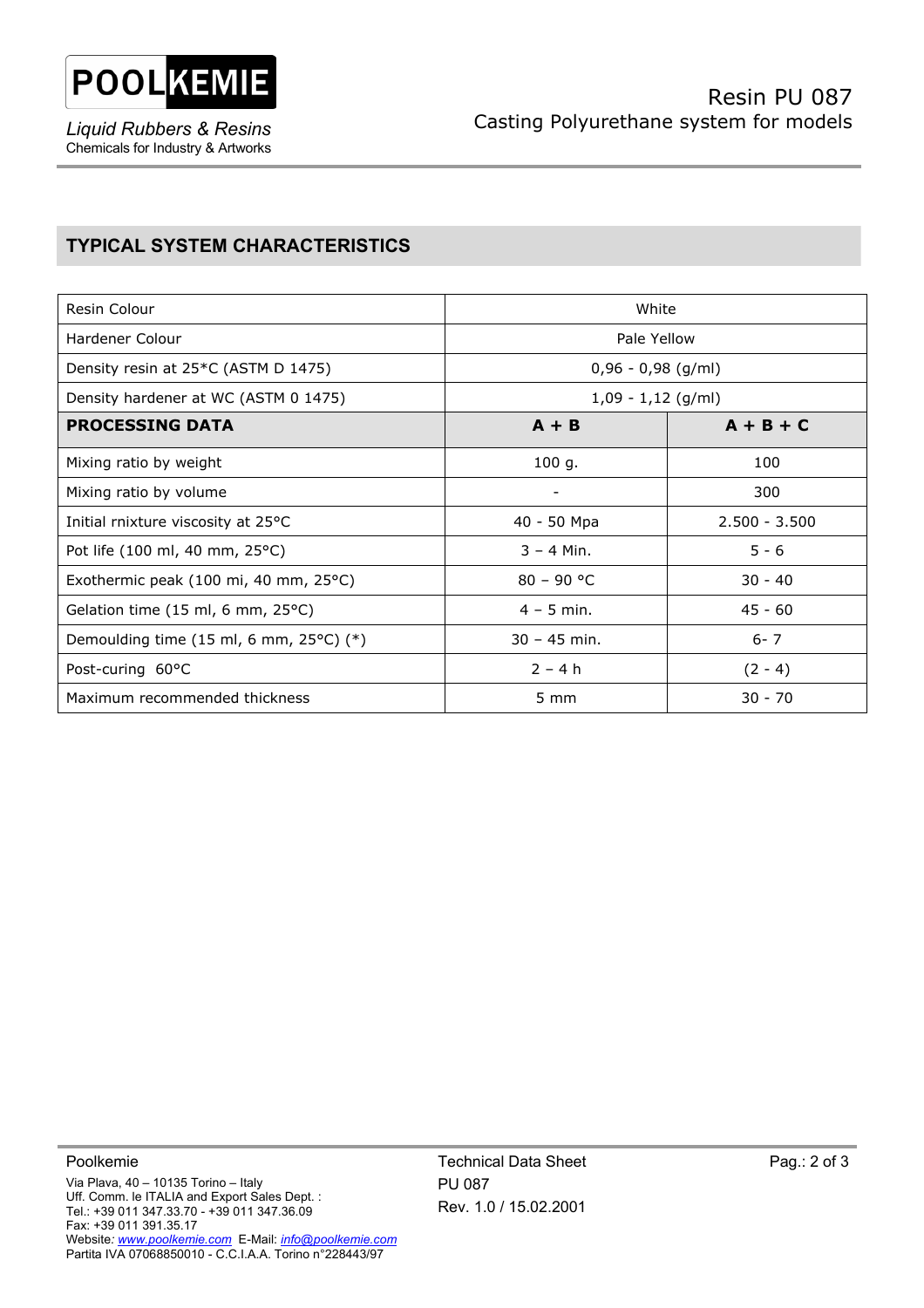

*Liquid Rubbers & Resins*  Chemicals for Industry & Artworks

## **TYPICAL SYSTEM CHARACTERISTICS**

| Resin Colour                                                          | White                    |                 |  |
|-----------------------------------------------------------------------|--------------------------|-----------------|--|
| Hardener Colour                                                       | Pale Yellow              |                 |  |
| Density resin at 25*C (ASTM D 1475)                                   | $0,96 - 0,98$ (g/ml)     |                 |  |
| Density hardener at WC (ASTM 0 1475)                                  | $1,09 - 1,12$ (g/ml)     |                 |  |
| <b>PROCESSING DATA</b>                                                | $A + B$                  | $A + B + C$     |  |
| Mixing ratio by weight                                                | 100 g.                   | 100             |  |
| Mixing ratio by volume                                                | $\overline{\phantom{a}}$ | 300             |  |
| Initial rnixture viscosity at 25°C                                    | 40 - 50 Mpa              | $2.500 - 3.500$ |  |
| Pot life (100 ml, 40 mm, 25°C)                                        | $3 - 4$ Min.             | $5 - 6$         |  |
| Exothermic peak $(100 \text{ mi}, 40 \text{ mm}, 25^{\circ}\text{C})$ | $80 - 90 °C$             | $30 - 40$       |  |
| Gelation time (15 ml, 6 mm, 25°C)                                     | $4 - 5$ min.             | $45 - 60$       |  |
| Demoulding time (15 ml, 6 mm, $25^{\circ}$ C) (*)                     | $30 - 45$ min.           | $6 - 7$         |  |
| Post-curing 60°C                                                      | $2 - 4h$                 | $(2 - 4)$       |  |
| Maximum recommended thickness                                         | $5 \, \text{mm}$         | $30 - 70$       |  |